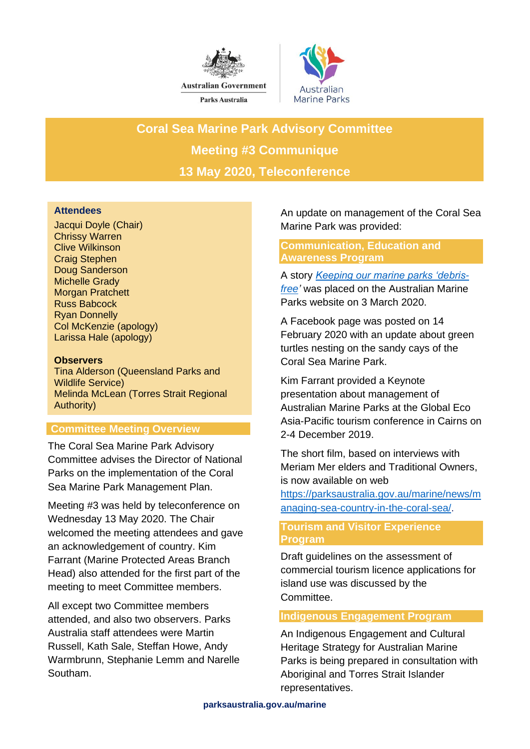



**Coral Sea Marine Park Advisory Committee Meeting #3 Communique 13 May 2020, Teleconference**

## **Attendees**

Jacqui Doyle (Chair) Chrissy Warren Clive Wilkinson Craig Stephen Doug Sanderson Michelle Grady Morgan Pratchett Russ Babcock Ryan Donnelly Col McKenzie (apology) Larissa Hale (apology)

### **Observers**

Tina Alderson (Queensland Parks and Wildlife Service) Melinda McLean (Torres Strait Regional Authority)

# **Committee Meeting Overview**

The Coral Sea Marine Park Advisory Committee advises the Director of National Parks on the implementation of the Coral Sea Marine Park Management Plan.

Meeting #3 was held by teleconference on Wednesday 13 May 2020. The Chair welcomed the meeting attendees and gave an acknowledgement of country. Kim Farrant (Marine Protected Areas Branch Head) also attended for the first part of the meeting to meet Committee members.

All except two Committee members attended, and also two observers. Parks Australia staff attendees were Martin Russell, Kath Sale, Steffan Howe, Andy Warmbrunn, Stephanie Lemm and Narelle Southam.

An update on management of the Coral Sea Marine Park was provided:

## **Communication, Education and Awareness Program**

A story *[Keeping our marine parks 'debris](https://parksaustralia.gov.au/marine/news/keeping-our-marine-parks-debris-free)[free'](https://parksaustralia.gov.au/marine/news/keeping-our-marine-parks-debris-free)* was placed on the Australian Marine Parks website on 3 March 2020.

A Facebook page was posted on 14 February 2020 with an update about green turtles nesting on the sandy cays of the Coral Sea Marine Park.

Kim Farrant provided a Keynote presentation about management of Australian Marine Parks at the Global Eco Asia-Pacific tourism conference in Cairns on 2-4 December 2019.

The short film, based on interviews with Meriam Mer elders and Traditional Owners, is now available on web

[https://parksaustralia.gov.au/marine/news/m](https://parksaustralia.gov.au/marine/news/managing-sea-country-in-the-coral-sea/) [anaging-sea-country-in-the-coral-sea/.](https://parksaustralia.gov.au/marine/news/managing-sea-country-in-the-coral-sea/)

## **Tourism and Visitor Experience Program**

Draft guidelines on the assessment of commercial tourism licence applications for island use was discussed by the Committee.

### **Indigenous Engagement Program**

An Indigenous Engagement and Cultural Heritage Strategy for Australian Marine Parks is being prepared in consultation with Aboriginal and Torres Strait Islander representatives.